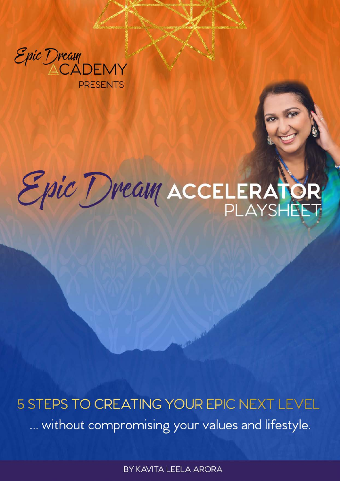

**PRESENTS** 

# Epic Dream ACCELERATO

5 STEPS TO CREATING YOUR EPIC NEXT LEVEL ... without compromising your values and lifestyle.

BY KAVITA LEELA ARORA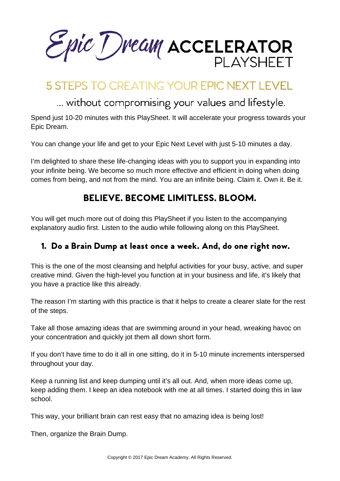Epic Dream ACCELERATOR PI AYSHFFT

# **5 STEPS TO CREATING YOUR EPIC NEXT LEVEL**

## ... without compromising your values and lifestyle.

Spend just 10-20 minutes with this PlaySheet. It will accelerate your progress towards your Epic Dream.

You can change your life and get to your Epic Next Level with just 5-10 minutes a day.

I'm delighted to share these life-changing ideas with you to support you in expanding into your infinite being. We become so much more effective and efficient in doing when doing comes from being, and not from the mind. You are an infinite being. Claim it. Own it. Be it.

### BELIEVE. BECOME LIMITLESS. BLOOM.

You will get much more out of doing this PlaySheet if you listen to the accompanying explanatory audio first. Listen to the audio while following along on this PlaySheet.

### 1. Do a Brain Dump at least once a week. And, do one right now.

This is the one of the most cleansing and helpful activities for your busy, active, and super creative mind. Given the high-level you function at in your business and life, it's likely that you have a practice like this already.

The reason I'm starting with this practice is that it helps to create a clearer slate for the rest of the steps.

Take all those amazing ideas that are swimming around in your head, wreaking havoc on your concentration and quickly jot them all down short form.

If you don't have time to do it all in one sitting, do it in 5-10 minute increments interspersed throughout your day.

Keep a running list and keep dumping until it's all out. And, when more ideas come up, keep adding them. I keep an idea notebook with me at all times. I started doing this in law school.

This way, your brilliant brain can rest easy that no amazing idea is being lost!

Then, organize the Brain Dump.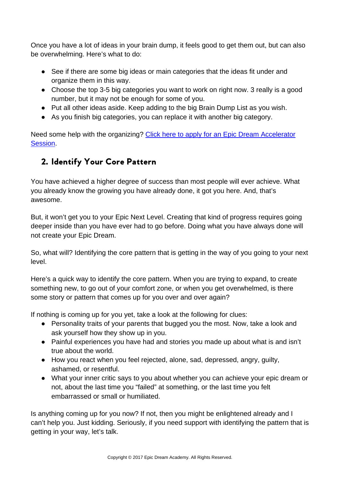Once you have a lot of ideas in your brain dump, it feels good to get them out, but can also be overwhelming. Here's what to do:

- See if there are some big ideas or main categories that the ideas fit under and organize them in this way.
- Choose the top 3-5 big categories you want to work on right now. 3 really is a good number, but it may not be enough for some of you.
- Put all other ideas aside. Keep adding to the big Brain Dump List as you wish.
- As you finish big categories, you can replace it with another big category.

Need some help with the organizing? [Click here to apply for an Epic Dream Accelerator](http://www.epicdreamacademy.com/application-form/)  [Session.](http://www.epicdreamacademy.com/application-form/)

### 2. Identify Your Core Pattern

You have achieved a higher degree of success than most people will ever achieve. What you already know the growing you have already done, it got you here. And, that's awesome.

But, it won't get you to your Epic Next Level. Creating that kind of progress requires going deeper inside than you have ever had to go before. Doing what you have always done will not create your Epic Dream.

So, what will? Identifying the core pattern that is getting in the way of you going to your next level.

Here's a quick way to identify the core pattern. When you are trying to expand, to create something new, to go out of your comfort zone, or when you get overwhelmed, is there some story or pattern that comes up for you over and over again?

If nothing is coming up for you yet, take a look at the following for clues:

- Personality traits of your parents that bugged you the most. Now, take a look and ask yourself how they show up in you.
- Painful experiences you have had and stories you made up about what is and isn't true about the world.
- How you react when you feel rejected, alone, sad, depressed, angry, guilty, ashamed, or resentful.
- What your inner critic says to you about whether you can achieve your epic dream or not, about the last time you "failed" at something, or the last time you felt embarrassed or small or humiliated.

Is anything coming up for you now? If not, then you might be enlightened already and I can't help you. Just kidding. Seriously, if you need support with identifying the pattern that is getting in your way, let's talk.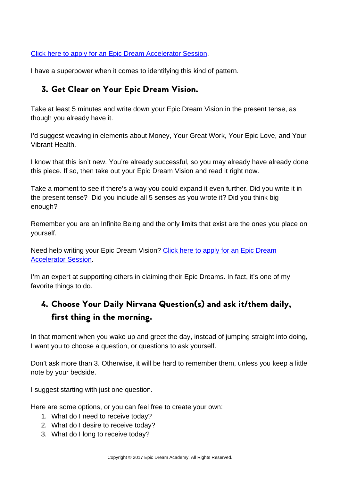Click here to apply for [an Epic Dream Accelerator Session.](http://www.epicdreamacademy.com/application-form/)

I have a superpower when it comes to identifying this kind of pattern.

### 3. Get Clear on Your Epic Dream Vision.

Take at least 5 minutes and write down your Epic Dream Vision in the present tense, as though you already have it.

I'd suggest weaving in elements about Money, Your Great Work, Your Epic Love, and Your Vibrant Health.

I know that this isn't new. You're already successful, so you may already have already done this piece. If so, then take out your Epic Dream Vision and read it right now.

Take a moment to see if there's a way you could expand it even further. Did you write it in the present tense? Did you include all 5 senses as you wrote it? Did you think big enough?

Remember you are an Infinite Being and the only limits that exist are the ones you place on yourself.

Need help writing your Epic Dream Vision? [Click here to apply for an Epic Dream](http://www.epicdreamacademy.com/application-form/)  [Accelerator Session.](http://www.epicdreamacademy.com/application-form/)

I'm an expert at supporting others in claiming their Epic Dreams. In fact, it's one of my favorite things to do.

### 4. Choose Your Daily Nirvana Question(s) and ask it/them daily, first thing in the morning.

In that moment when you wake up and greet the day, instead of jumping straight into doing, I want you to choose a question, or questions to ask yourself.

Don't ask more than 3. Otherwise, it will be hard to remember them, unless you keep a little note by your bedside.

I suggest starting with just one question.

Here are some options, or you can feel free to create your own:

- 1. What do I need to receive today?
- 2. What do I desire to receive today?
- 3. What do I long to receive today?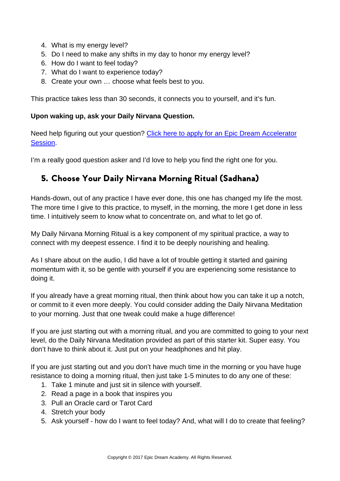- 4. What is my energy level?
- 5. Do I need to make any shifts in my day to honor my energy level?
- 6. How do I want to feel today?
- 7. What do I want to experience today?
- 8. Create your own … choose what feels best to you.

This practice takes less than 30 seconds, it connects you to yourself, and it's fun.

### **Upon waking up, ask your Daily Nirvana Question.**

Need help figuring out your question? [Click here to apply for an Epic Dream Accelerator](http://www.epicdreamacademy.com/application-form/)  [Session.](http://www.epicdreamacademy.com/application-form/)

I'm a really good question asker and I'd love to help you find the right one for you.

### 5. Choose Your Daily Nirvana Morning Ritual (Sadhana)

Hands-down, out of any practice I have ever done, this one has changed my life the most. The more time I give to this practice, to myself, in the morning, the more I get done in less time. I intuitively seem to know what to concentrate on, and what to let go of.

My Daily Nirvana Morning Ritual is a key component of my spiritual practice, a way to connect with my deepest essence. I find it to be deeply nourishing and healing.

As I share about on the audio, I did have a lot of trouble getting it started and gaining momentum with it, so be gentle with yourself if you are experiencing some resistance to doing it.

If you already have a great morning ritual, then think about how you can take it up a notch, or commit to it even more deeply. You could consider adding the Daily Nirvana Meditation to your morning. Just that one tweak could make a huge difference!

If you are just starting out with a morning ritual, and you are committed to going to your next level, do the Daily Nirvana Meditation provided as part of this starter kit. Super easy. You don't have to think about it. Just put on your headphones and hit play.

If you are just starting out and you don't have much time in the morning or you have huge resistance to doing a morning ritual, then just take 1-5 minutes to do any one of these:

- 1. Take 1 minute and just sit in silence with yourself.
- 2. Read a page in a book that inspires you
- 3. Pull an Oracle card or Tarot Card
- 4. Stretch your body
- 5. Ask yourself how do I want to feel today? And, what will I do to create that feeling?